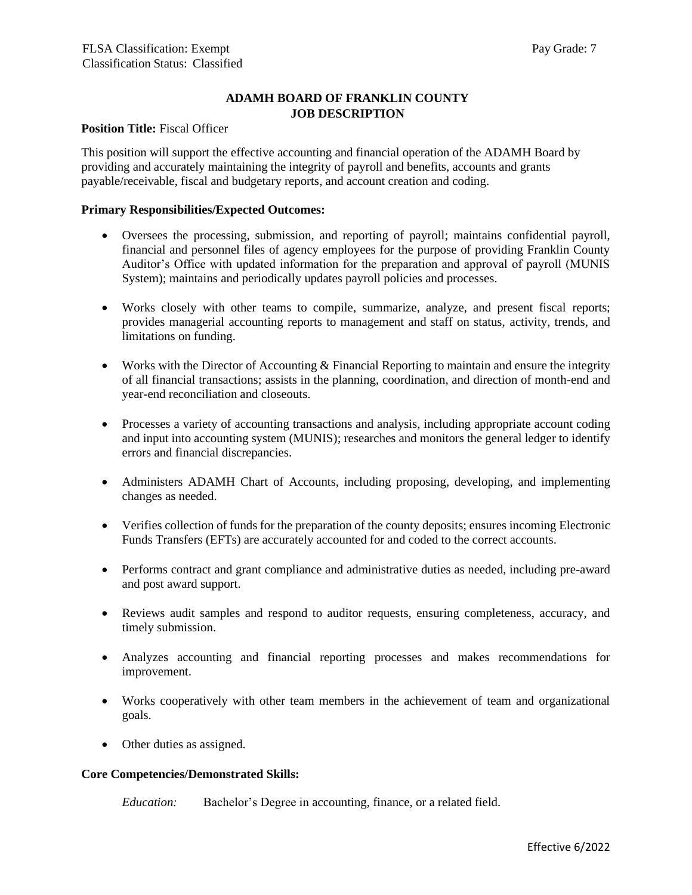# **ADAMH BOARD OF FRANKLIN COUNTY JOB DESCRIPTION**

# **Position Title: Fiscal Officer**

This position will support the effective accounting and financial operation of the ADAMH Board by providing and accurately maintaining the integrity of payroll and benefits, accounts and grants payable/receivable, fiscal and budgetary reports, and account creation and coding.

#### **Primary Responsibilities/Expected Outcomes:**

- Oversees the processing, submission, and reporting of payroll; maintains confidential payroll, financial and personnel files of agency employees for the purpose of providing Franklin County Auditor's Office with updated information for the preparation and approval of payroll (MUNIS System); maintains and periodically updates payroll policies and processes.
- Works closely with other teams to compile, summarize, analyze, and present fiscal reports; provides managerial accounting reports to management and staff on status, activity, trends, and limitations on funding.
- Works with the Director of Accounting & Financial Reporting to maintain and ensure the integrity of all financial transactions; assists in the planning, coordination, and direction of month-end and year-end reconciliation and closeouts.
- Processes a variety of accounting transactions and analysis, including appropriate account coding and input into accounting system (MUNIS); researches and monitors the general ledger to identify errors and financial discrepancies.
- Administers ADAMH Chart of Accounts, including proposing, developing, and implementing changes as needed.
- Verifies collection of funds for the preparation of the county deposits; ensures incoming Electronic Funds Transfers (EFTs) are accurately accounted for and coded to the correct accounts.
- Performs contract and grant compliance and administrative duties as needed, including pre-award and post award support.
- Reviews audit samples and respond to auditor requests, ensuring completeness, accuracy, and timely submission.
- Analyzes accounting and financial reporting processes and makes recommendations for improvement.
- Works cooperatively with other team members in the achievement of team and organizational goals.
- Other duties as assigned.

### **Core Competencies/Demonstrated Skills:**

*Education:* Bachelor's Degree in accounting, finance, or a related field.